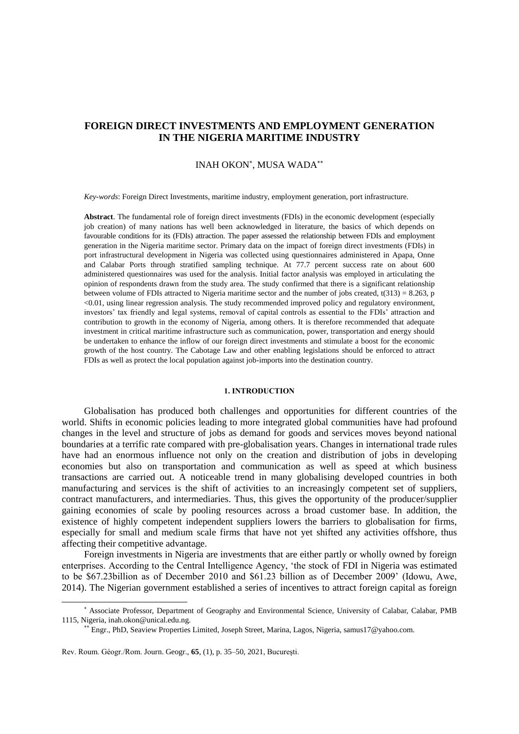# **FOREIGN DIRECT INVESTMENTS AND EMPLOYMENT GENERATION IN THE NIGERIA MARITIME INDUSTRY**

# INAH OKON\*, MUSA WADA\*\*

*Key-words*: Foreign Direct Investments, maritime industry, employment generation, port infrastructure.

**Abstract**. The fundamental role of foreign direct investments (FDIs) in the economic development (especially job creation) of many nations has well been acknowledged in literature, the basics of which depends on favourable conditions for its (FDIs) attraction. The paper assessed the relationship between FDIs and employment generation in the Nigeria maritime sector. Primary data on the impact of foreign direct investments (FDIs) in port infrastructural development in Nigeria was collected using questionnaires administered in Apapa, Onne and Calabar Ports through stratified sampling technique. At 77.7 percent success rate on about 600 administered questionnaires was used for the analysis. Initial factor analysis was employed in articulating the opinion of respondents drawn from the study area. The study confirmed that there is a significant relationship between volume of FDIs attracted to Nigeria maritime sector and the number of jobs created,  $t(313) = 8.263$ , p <0.01, using linear regression analysis. The study recommended improved policy and regulatory environment, investors' tax friendly and legal systems, removal of capital controls as essential to the FDIs' attraction and contribution to growth in the economy of Nigeria, among others. It is therefore recommended that adequate investment in critical maritime infrastructure such as communication, power, transportation and energy should be undertaken to enhance the inflow of our foreign direct investments and stimulate a boost for the economic growth of the host country. The Cabotage Law and other enabling legislations should be enforced to attract FDIs as well as protect the local population against job-imports into the destination country.

### **1. INTRODUCTION**

Globalisation has produced both challenges and opportunities for different countries of the world. Shifts in economic policies leading to more integrated global communities have had profound changes in the level and structure of jobs as demand for goods and services moves beyond national boundaries at a terrific rate compared with pre-globalisation years. Changes in international trade rules have had an enormous influence not only on the creation and distribution of jobs in developing economies but also on transportation and communication as well as speed at which business transactions are carried out. A noticeable trend in many globalising developed countries in both manufacturing and services is the shift of activities to an increasingly competent set of suppliers, contract manufacturers, and intermediaries. Thus, this gives the opportunity of the producer/supplier gaining economies of scale by pooling resources across a broad customer base. In addition, the existence of highly competent independent suppliers lowers the barriers to globalisation for firms, especially for small and medium scale firms that have not yet shifted any activities offshore, thus affecting their competitive advantage.

Foreign investments in Nigeria are investments that are either partly or wholly owned by foreign enterprises. According to the Central Intelligence Agency, 'the stock of FDI in Nigeria was estimated to be \$67.23billion as of December 2010 and \$61.23 billion as of December 2009' (Idowu, Awe, 2014). The Nigerian government established a series of incentives to attract foreign capital as foreign

 $\overline{a}$ 

Associate Professor, Department of Geography and Environmental Science, University of Calabar, Calabar, PMB 1115, Nigeria, inah.okon@unical.edu.ng.

Engr., PhD, Seaview Properties Limited, Joseph Street, Marina, Lagos, Nigeria, samus17@yahoo.com.

Rev. Roum. Géogr./Rom. Journ. Geogr., **65**, (1), p. 35–50, 2021, Bucureşti.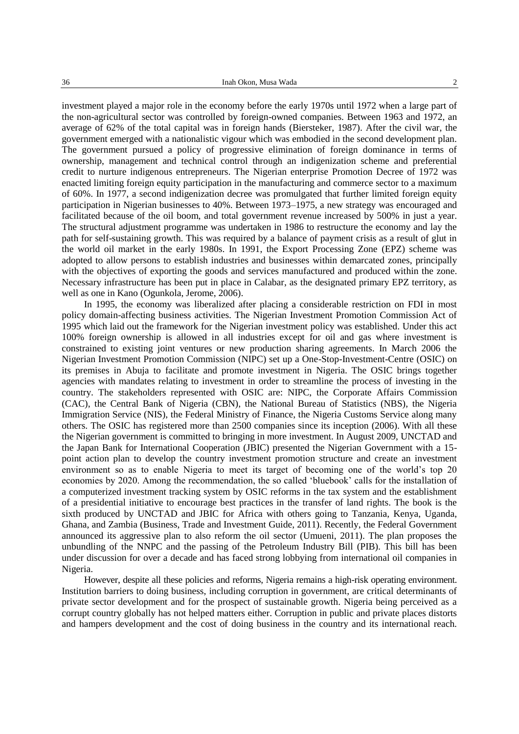investment played a major role in the economy before the early 1970s until 1972 when a large part of the non-agricultural sector was controlled by foreign-owned companies. Between 1963 and 1972, an average of 62% of the total capital was in foreign hands (Biersteker, 1987). After the civil war, the government emerged with a nationalistic vigour which was embodied in the second development plan. The government pursued a policy of progressive elimination of foreign dominance in terms of ownership, management and technical control through an indigenization scheme and preferential credit to nurture indigenous entrepreneurs. The Nigerian enterprise Promotion Decree of 1972 was enacted limiting foreign equity participation in the manufacturing and commerce sector to a maximum of 60%. In 1977, a second indigenization decree was promulgated that further limited foreign equity participation in Nigerian businesses to 40%. Between 1973–1975, a new strategy was encouraged and facilitated because of the oil boom, and total government revenue increased by 500% in just a year. The structural adjustment programme was undertaken in 1986 to restructure the economy and lay the path for self-sustaining growth. This was required by a balance of payment crisis as a result of glut in the world oil market in the early 1980s. In 1991, the Export Processing Zone (EPZ) scheme was adopted to allow persons to establish industries and businesses within demarcated zones, principally with the objectives of exporting the goods and services manufactured and produced within the zone. Necessary infrastructure has been put in place in Calabar, as the designated primary EPZ territory, as well as one in Kano (Ogunkola, Jerome, 2006).

In 1995, the economy was liberalized after placing a considerable restriction on FDI in most policy domain-affecting business activities. The Nigerian Investment Promotion Commission Act of 1995 which laid out the framework for the Nigerian investment policy was established. Under this act 100% foreign ownership is allowed in all industries except for oil and gas where investment is constrained to existing joint ventures or new production sharing agreements. In March 2006 the Nigerian Investment Promotion Commission (NIPC) set up a One-Stop-Investment-Centre (OSIC) on its premises in Abuja to facilitate and promote investment in Nigeria. The OSIC brings together agencies with mandates relating to investment in order to streamline the process of investing in the country. The stakeholders represented with OSIC are: NIPC, the Corporate Affairs Commission (CAC), the Central Bank of Nigeria (CBN), the National Bureau of Statistics (NBS), the Nigeria Immigration Service (NIS), the Federal Ministry of Finance, the Nigeria Customs Service along many others. The OSIC has registered more than 2500 companies since its inception (2006). With all these the Nigerian government is committed to bringing in more investment. In August 2009, UNCTAD and the Japan Bank for International Cooperation (JBIC) presented the Nigerian Government with a 15 point action plan to develop the country investment promotion structure and create an investment environment so as to enable Nigeria to meet its target of becoming one of the world's top 20 economies by 2020. Among the recommendation, the so called 'bluebook' calls for the installation of a computerized investment tracking system by OSIC reforms in the tax system and the establishment of a presidential initiative to encourage best practices in the transfer of land rights. The book is the sixth produced by UNCTAD and JBIC for Africa with others going to Tanzania, Kenya, Uganda, Ghana, and Zambia (Business, Trade and Investment Guide, 2011). Recently, the Federal Government announced its aggressive plan to also reform the oil sector (Umueni, 2011). The plan proposes the unbundling of the NNPC and the passing of the Petroleum Industry Bill (PIB). This bill has been under discussion for over a decade and has faced strong lobbying from international oil companies in Nigeria.

However, despite all these policies and reforms, Nigeria remains a high-risk operating environment. Institution barriers to doing business, including corruption in government, are critical determinants of private sector development and for the prospect of sustainable growth. Nigeria being perceived as a corrupt country globally has not helped matters either. Corruption in public and private places distorts and hampers development and the cost of doing business in the country and its international reach.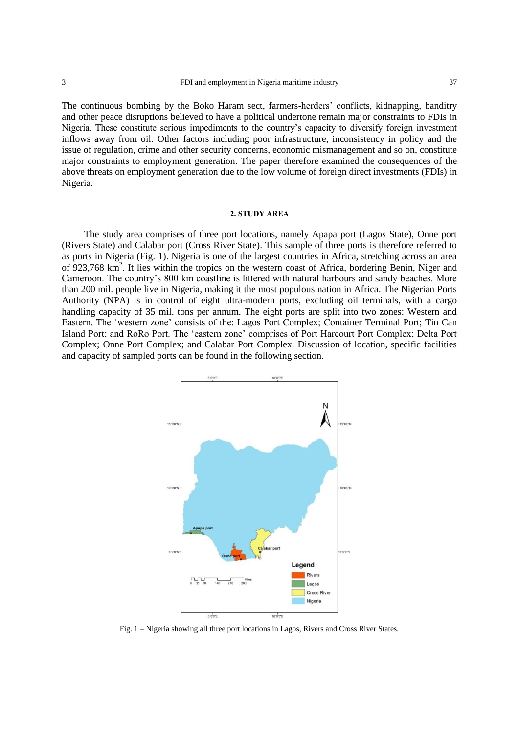The continuous bombing by the Boko Haram sect, farmers-herders' conflicts, kidnapping, banditry and other peace disruptions believed to have a political undertone remain major constraints to FDIs in Nigeria. These constitute serious impediments to the country's capacity to diversify foreign investment inflows away from oil. Other factors including poor infrastructure, inconsistency in policy and the issue of regulation, crime and other security concerns, economic mismanagement and so on, constitute major constraints to employment generation. The paper therefore examined the consequences of the above threats on employment generation due to the low volume of foreign direct investments (FDIs) in Nigeria.

#### **2. STUDY AREA**

The study area comprises of three port locations, namely Apapa port (Lagos State), Onne port (Rivers State) and Calabar port (Cross River State). This sample of three ports is therefore referred to as ports in Nigeria (Fig. 1). Nigeria is one of the largest countries in Africa, stretching across an area of 923,768 km<sup>2</sup>. It lies within the tropics on the western coast of Africa, bordering Benin, Niger and Cameroon. The country's 800 km coastline is littered with natural harbours and sandy beaches. More than 200 mil. people live in Nigeria, making it the most populous nation in Africa. The Nigerian Ports Authority (NPA) is in control of eight ultra-modern ports, excluding oil terminals, with a cargo handling capacity of 35 mil. tons per annum. The eight ports are split into two zones: Western and Eastern. The 'western zone' consists of the: Lagos Port Complex; Container Terminal Port; Tin Can Island Port; and RoRo Port. The 'eastern zone' comprises of Port Harcourt Port Complex; Delta Port Complex; Onne Port Complex; and Calabar Port Complex. Discussion of location, specific facilities and capacity of sampled ports can be found in the following section.



Fig. 1 – Nigeria showing all three port locations in Lagos, Rivers and Cross River States.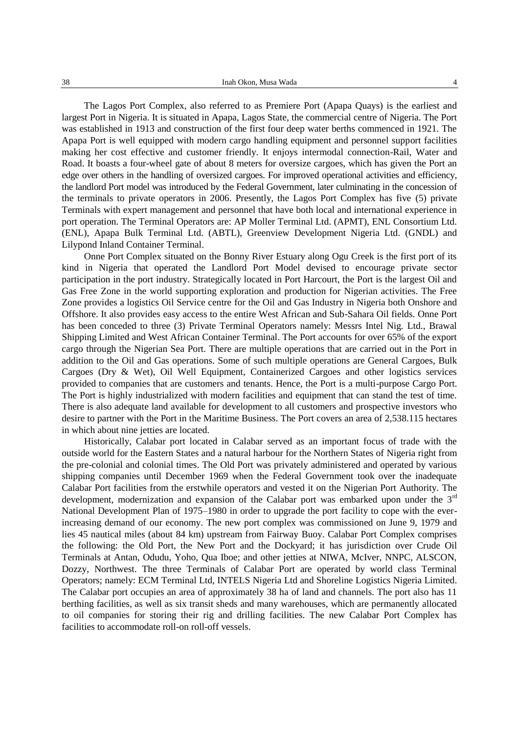The Lagos Port Complex, also referred to as Premiere Port (Apapa Quays) is the earliest and largest Port in Nigeria. It is situated in Apapa, Lagos State, the commercial centre of Nigeria. The Port was established in 1913 and construction of the first four deep water berths commenced in 1921. The Apapa Port is well equipped with modern cargo handling equipment and personnel support facilities making her cost effective and customer friendly. It enjoys intermodal connection-Rail, Water and Road. It boasts a four-wheel gate of about 8 meters for oversize cargoes, which has given the Port an edge over others in the handling of oversized cargoes. For improved operational activities and efficiency, the landlord Port model was introduced by the Federal Government, later culminating in the concession of the terminals to private operators in 2006. Presently, the Lagos Port Complex has five (5) private Terminals with expert management and personnel that have both local and international experience in port operation. The Terminal Operators are: AP Moller Terminal Ltd. (APMT), ENL Consortium Ltd. (ENL), Apapa Bulk Terminal Ltd. (ABTL), Greenview Development Nigeria Ltd. (GNDL) and Lilypond Inland Container Terminal.

Onne Port Complex situated on the Bonny River Estuary along Ogu Creek is the first port of its kind in Nigeria that operated the Landlord Port Model devised to encourage private sector participation in the port industry. Strategically located in Port Harcourt, the Port is the largest Oil and Gas Free Zone in the world supporting exploration and production for Nigerian activities. The Free Zone provides a logistics Oil Service centre for the Oil and Gas Industry in Nigeria both Onshore and Offshore. It also provides easy access to the entire West African and Sub-Sahara Oil fields. Onne Port has been conceded to three (3) Private Terminal Operators namely: Messrs Intel Nig. Ltd., Brawal Shipping Limited and West African Container Terminal. The Port accounts for over 65% of the export cargo through the Nigerian Sea Port. There are multiple operations that are carried out in the Port in addition to the Oil and Gas operations. Some of such multiple operations are General Cargoes, Bulk Cargoes (Dry & Wet), Oil Well Equipment, Containerized Cargoes and other logistics services provided to companies that are customers and tenants. Hence, the Port is a multi-purpose Cargo Port. The Port is highly industrialized with modern facilities and equipment that can stand the test of time. There is also adequate land available for development to all customers and prospective investors who desire to partner with the Port in the Maritime Business. The Port covers an area of 2,538.115 hectares in which about nine jetties are located.

Historically, Calabar port located in Calabar served as an important focus of trade with the outside world for the Eastern States and a natural harbour for the Northern States of Nigeria right from the pre-colonial and colonial times. The Old Port was privately administered and operated by various shipping companies until December 1969 when the Federal Government took over the inadequate Calabar Port facilities from the erstwhile operators and vested it on the Nigerian Port Authority. The development, modernization and expansion of the Calabar port was embarked upon under the  $3<sup>rd</sup>$ National Development Plan of 1975–1980 in order to upgrade the port facility to cope with the everincreasing demand of our economy. The new port complex was commissioned on June 9, 1979 and lies 45 nautical miles (about 84 km) upstream from Fairway Buoy. Calabar Port Complex comprises the following: the Old Port, the New Port and the Dockyard; it has jurisdiction over Crude Oil Terminals at Antan, Odudu, Yoho, Qua Iboe; and other jetties at NIWA, McIver, NNPC, ALSCON, Dozzy, Northwest. The three Terminals of Calabar Port are operated by world class Terminal Operators; namely: ECM Terminal Ltd, INTELS Nigeria Ltd and Shoreline Logistics Nigeria Limited. The Calabar port occupies an area of approximately 38 ha of land and channels. The port also has 11 berthing facilities, as well as six transit sheds and many warehouses, which are permanently allocated to oil companies for storing their rig and drilling facilities. The new Calabar Port Complex has facilities to accommodate roll-on roll-off vessels.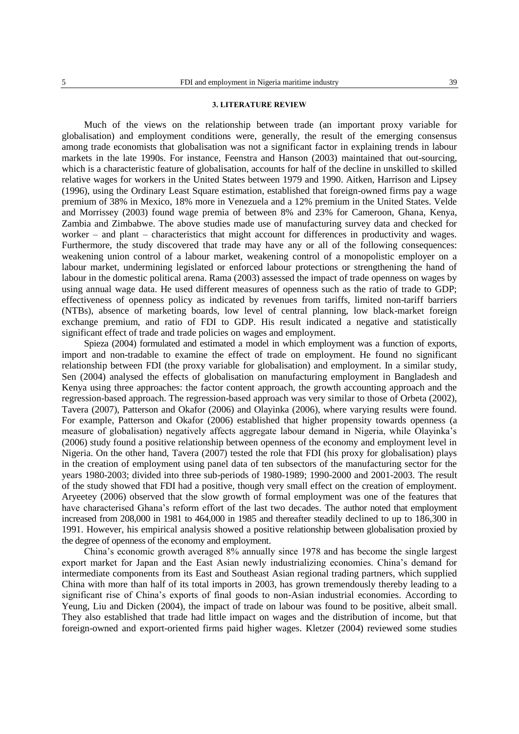#### **3. LITERATURE REVIEW**

Much of the views on the relationship between trade (an important proxy variable for globalisation) and employment conditions were, generally, the result of the emerging consensus among trade economists that globalisation was not a significant factor in explaining trends in labour markets in the late 1990s. For instance, Feenstra and Hanson (2003) maintained that out-sourcing, which is a characteristic feature of globalisation, accounts for half of the decline in unskilled to skilled relative wages for workers in the United States between 1979 and 1990. Aitken, Harrison and Lipsey (1996), using the Ordinary Least Square estimation, established that foreign-owned firms pay a wage premium of 38% in Mexico, 18% more in Venezuela and a 12% premium in the United States. Velde and Morrissey (2003) found wage premia of between 8% and 23% for Cameroon, Ghana, Kenya, Zambia and Zimbabwe. The above studies made use of manufacturing survey data and checked for worker – and plant – characteristics that might account for differences in productivity and wages. Furthermore, the study discovered that trade may have any or all of the following consequences: weakening union control of a labour market, weakening control of a monopolistic employer on a labour market, undermining legislated or enforced labour protections or strengthening the hand of labour in the domestic political arena. Rama (2003) assessed the impact of trade openness on wages by using annual wage data. He used different measures of openness such as the ratio of trade to GDP; effectiveness of openness policy as indicated by revenues from tariffs, limited non-tariff barriers (NTBs), absence of marketing boards, low level of central planning, low black-market foreign exchange premium, and ratio of FDI to GDP. His result indicated a negative and statistically significant effect of trade and trade policies on wages and employment.

Spieza (2004) formulated and estimated a model in which employment was a function of exports, import and non-tradable to examine the effect of trade on employment. He found no significant relationship between FDI (the proxy variable for globalisation) and employment. In a similar study, Sen (2004) analysed the effects of globalisation on manufacturing employment in Bangladesh and Kenya using three approaches: the factor content approach, the growth accounting approach and the regression-based approach. The regression-based approach was very similar to those of Orbeta (2002), Tavera (2007), Patterson and Okafor (2006) and Olayinka (2006), where varying results were found. For example, Patterson and Okafor (2006) established that higher propensity towards openness (a measure of globalisation) negatively affects aggregate labour demand in Nigeria, while Olayinka's (2006) study found a positive relationship between openness of the economy and employment level in Nigeria. On the other hand, Tavera (2007) tested the role that FDI (his proxy for globalisation) plays in the creation of employment using panel data of ten subsectors of the manufacturing sector for the years 1980-2003; divided into three sub-periods of 1980-1989; 1990-2000 and 2001-2003. The result of the study showed that FDI had a positive, though very small effect on the creation of employment. Aryeetey (2006) observed that the slow growth of formal employment was one of the features that have characterised Ghana's reform effort of the last two decades. The author noted that employment increased from 208,000 in 1981 to 464,000 in 1985 and thereafter steadily declined to up to 186,300 in 1991. However, his empirical analysis showed a positive relationship between globalisation proxied by the degree of openness of the economy and employment.

China's economic growth averaged 8% annually since 1978 and has become the single largest export market for Japan and the East Asian newly industrializing economies. China's demand for intermediate components from its East and Southeast Asian regional trading partners, which supplied China with more than half of its total imports in 2003, has grown tremendously thereby leading to a significant rise of China's exports of final goods to non-Asian industrial economies. According to Yeung, Liu and Dicken (2004), the impact of trade on labour was found to be positive, albeit small. They also established that trade had little impact on wages and the distribution of income, but that foreign-owned and export-oriented firms paid higher wages. Kletzer (2004) reviewed some studies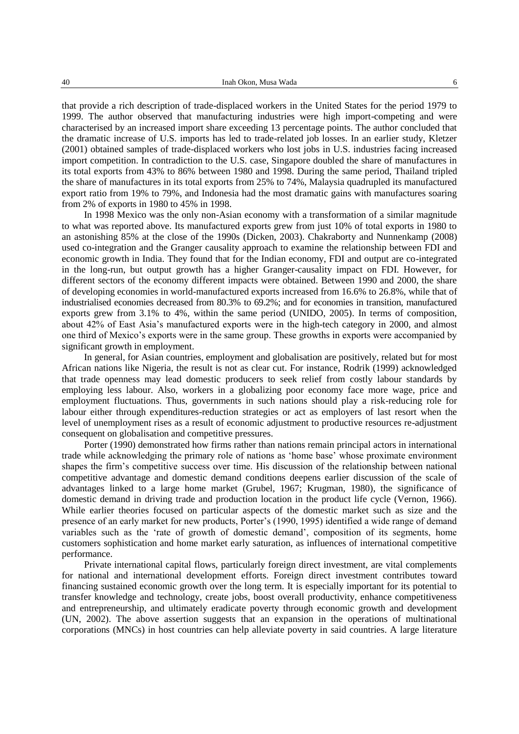that provide a rich description of trade-displaced workers in the United States for the period 1979 to 1999. The author observed that manufacturing industries were high import-competing and were characterised by an increased import share exceeding 13 percentage points. The author concluded that the dramatic increase of U.S. imports has led to trade-related job losses. In an earlier study, Kletzer (2001) obtained samples of trade-displaced workers who lost jobs in U.S. industries facing increased import competition. In contradiction to the U.S. case, Singapore doubled the share of manufactures in its total exports from 43% to 86% between 1980 and 1998. During the same period, Thailand tripled the share of manufactures in its total exports from 25% to 74%, Malaysia quadrupled its manufactured export ratio from 19% to 79%, and Indonesia had the most dramatic gains with manufactures soaring from 2% of exports in 1980 to 45% in 1998.

In 1998 Mexico was the only non-Asian economy with a transformation of a similar magnitude to what was reported above. Its manufactured exports grew from just 10% of total exports in 1980 to an astonishing 85% at the close of the 1990s (Dicken, 2003). Chakraborty and Nunnenkamp (2008) used co-integration and the Granger causality approach to examine the relationship between FDI and economic growth in India. They found that for the Indian economy, FDI and output are co-integrated in the long-run, but output growth has a higher Granger-causality impact on FDI. However, for different sectors of the economy different impacts were obtained. Between 1990 and 2000, the share of developing economies in world-manufactured exports increased from 16.6% to 26.8%, while that of industrialised economies decreased from 80.3% to 69.2%; and for economies in transition, manufactured exports grew from 3.1% to 4%, within the same period (UNIDO, 2005). In terms of composition, about 42% of East Asia's manufactured exports were in the high-tech category in 2000, and almost one third of Mexico's exports were in the same group. These growths in exports were accompanied by significant growth in employment.

In general, for Asian countries, employment and globalisation are positively, related but for most African nations like Nigeria, the result is not as clear cut. For instance, Rodrik (1999) acknowledged that trade openness may lead domestic producers to seek relief from costly labour standards by employing less labour. Also, workers in a globalizing poor economy face more wage, price and employment fluctuations. Thus, governments in such nations should play a risk-reducing role for labour either through expenditures-reduction strategies or act as employers of last resort when the level of unemployment rises as a result of economic adjustment to productive resources re-adjustment consequent on globalisation and competitive pressures.

Porter (1990) demonstrated how firms rather than nations remain principal actors in international trade while acknowledging the primary role of nations as 'home base' whose proximate environment shapes the firm's competitive success over time. His discussion of the relationship between national competitive advantage and domestic demand conditions deepens earlier discussion of the scale of advantages linked to a large home market (Grubel, 1967; Krugman, 1980), the significance of domestic demand in driving trade and production location in the product life cycle (Vernon, 1966). While earlier theories focused on particular aspects of the domestic market such as size and the presence of an early market for new products, Porter's (1990, 1995) identified a wide range of demand variables such as the 'rate of growth of domestic demand', composition of its segments, home customers sophistication and home market early saturation, as influences of international competitive performance.

Private international capital flows, particularly foreign direct investment, are vital complements for national and international development efforts. Foreign direct investment contributes toward financing sustained economic growth over the long term. It is especially important for its potential to transfer knowledge and technology, create jobs, boost overall productivity, enhance competitiveness and entrepreneurship, and ultimately eradicate poverty through economic growth and development (UN, 2002). The above assertion suggests that an expansion in the operations of multinational corporations (MNCs) in host countries can help alleviate poverty in said countries. A large literature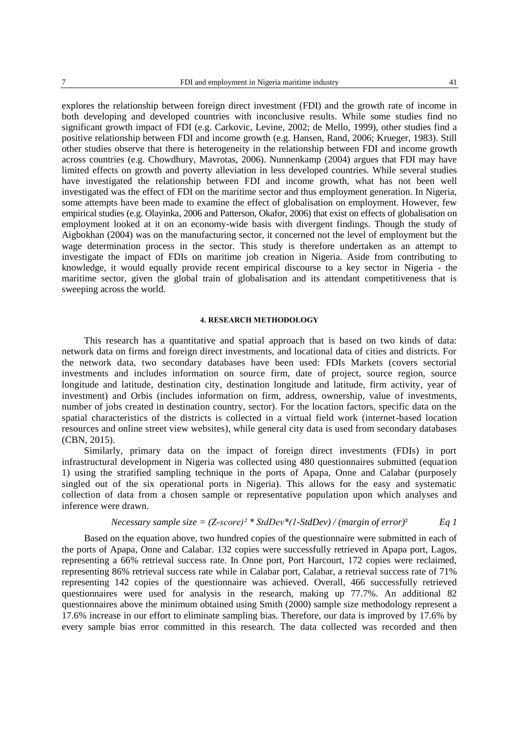explores the relationship between foreign direct investment (FDI) and the growth rate of income in both developing and developed countries with inconclusive results. While some studies find no significant growth impact of FDI (e.g. Carkovic, Levine, 2002; de Mello, 1999), other studies find a positive relationship between FDI and income growth (e.g. Hansen, Rand, 2006; Krueger, 1983). Still other studies observe that there is heterogeneity in the relationship between FDI and income growth across countries (e.g. Chowdhury, Mavrotas, 2006). Nunnenkamp (2004) argues that FDI may have limited effects on growth and poverty alleviation in less developed countries. While several studies have investigated the relationship between FDI and income growth, what has not been well investigated was the effect of FDI on the maritime sector and thus employment generation. In Nigeria, some attempts have been made to examine the effect of globalisation on employment. However, few empirical studies (e.g. Olayinka, 2006 and Patterson, Okafor, 2006) that exist on effects of globalisation on employment looked at it on an economy-wide basis with divergent findings. Though the study of Aigbokhan (2004) was on the manufacturing sector, it concerned not the level of employment but the wage determination process in the sector. This study is therefore undertaken as an attempt to investigate the impact of FDIs on maritime job creation in Nigeria. Aside from contributing to knowledge, it would equally provide recent empirical discourse to a key sector in Nigeria - the maritime sector, given the global train of globalisation and its attendant competitiveness that is sweeping across the world.

# **4. RESEARCH METHODOLOGY**

This research has a quantitative and spatial approach that is based on two kinds of data: network data on firms and foreign direct investments, and locational data of cities and districts. For the network data, two secondary databases have been used: FDIs Markets (covers sectorial investments and includes information on source firm, date of project, source region, source longitude and latitude, destination city, destination longitude and latitude, firm activity, year of investment) and Orbis (includes information on firm, address, ownership, value of investments, number of jobs created in destination country, sector). For the location factors, specific data on the spatial characteristics of the districts is collected in a virtual field work (internet-based location resources and online street view websites), while general city data is used from secondary databases (CBN, 2015).

Similarly, primary data on the impact of foreign direct investments (FDIs) in port infrastructural development in Nigeria was collected using 480 questionnaires submitted (equation 1) using the stratified sampling technique in the ports of Apapa, Onne and Calabar (purposely singled out of the six operational ports in Nigeria). This allows for the easy and systematic collection of data from a chosen sample or representative population upon which analyses and inference were drawn.

*Necessary sample size* = 
$$
(Z\text{-}score)^2 * \text{StdDev}^*(1\text{-}StdDev) / (margin of error)^2
$$
 Eq 1

Based on the equation above, two hundred copies of the questionnaire were submitted in each of the ports of Apapa, Onne and Calabar. 132 copies were successfully retrieved in Apapa port, Lagos, representing a 66% retrieval success rate. In Onne port, Port Harcourt, 172 copies were reclaimed, representing 86% retrieval success rate while in Calabar port, Calabar, a retrieval success rate of 71% representing 142 copies of the questionnaire was achieved. Overall, 466 successfully retrieved questionnaires were used for analysis in the research, making up 77.7%. An additional 82 questionnaires above the minimum obtained using Smith (2000) sample size methodology represent a 17.6% increase in our effort to eliminate sampling bias. Therefore, our data is improved by 17.6% by every sample bias error committed in this research. The data collected was recorded and then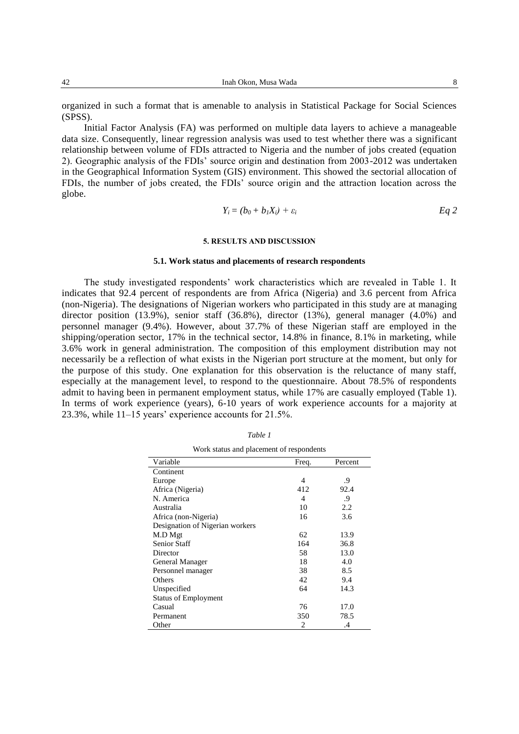42 Inah Okon, Musa Wada 8

Initial Factor Analysis (FA) was performed on multiple data layers to achieve a manageable data size. Consequently, linear regression analysis was used to test whether there was a significant relationship between volume of FDIs attracted to Nigeria and the number of jobs created (equation 2). Geographic analysis of the FDIs' source origin and destination from 2003-2012 was undertaken in the Geographical Information System (GIS) environment. This showed the sectorial allocation of FDIs, the number of jobs created, the FDIs' source origin and the attraction location across the globe.

$$
Y_i = (b_0 + b_1 X_i) + \varepsilon_i \hspace{1cm} Eq \ 2
$$

### **5. RESULTS AND DISCUSSION**

# **5.1. Work status and placements of research respondents**

The study investigated respondents' work characteristics which are revealed in Table 1. It indicates that 92.4 percent of respondents are from Africa (Nigeria) and 3.6 percent from Africa (non-Nigeria). The designations of Nigerian workers who participated in this study are at managing director position (13.9%), senior staff (36.8%), director (13%), general manager (4.0%) and personnel manager (9.4%). However, about 37.7% of these Nigerian staff are employed in the shipping/operation sector, 17% in the technical sector, 14.8% in finance, 8.1% in marketing, while 3.6% work in general administration. The composition of this employment distribution may not necessarily be a reflection of what exists in the Nigerian port structure at the moment, but only for the purpose of this study. One explanation for this observation is the reluctance of many staff, especially at the management level, to respond to the questionnaire. About 78.5% of respondents admit to having been in permanent employment status, while 17% are casually employed (Table 1). In terms of work experience (years), 6-10 years of work experience accounts for a majority at 23.3%, while 11–15 years' experience accounts for 21.5%.

| Variable                        | Freq. | Percent |
|---------------------------------|-------|---------|
| Continent                       |       |         |
|                                 |       |         |
| Europe                          | 4     | .9      |
| Africa (Nigeria)                | 412   | 92.4    |
| N. America                      | 4     | .9      |
| Australia                       | 10    | 2.2     |
| Africa (non-Nigeria)            | 16    | 3.6     |
| Designation of Nigerian workers |       |         |
| M.D Mgt                         | 62    | 13.9    |
| <b>Senior Staff</b>             | 164   | 36.8    |
| Director                        | 58    | 13.0    |
| General Manager                 | 18    | 4.0     |
| Personnel manager               | 38    | 8.5     |
| Others                          | 42    | 9.4     |
| Unspecified                     | 64    | 14.3    |
| <b>Status of Employment</b>     |       |         |
| Casual                          | 76    | 17.0    |
| Permanent                       | 350   | 78.5    |
| Other                           | 2     | .4      |

*Table 1* Work status and placement of respondents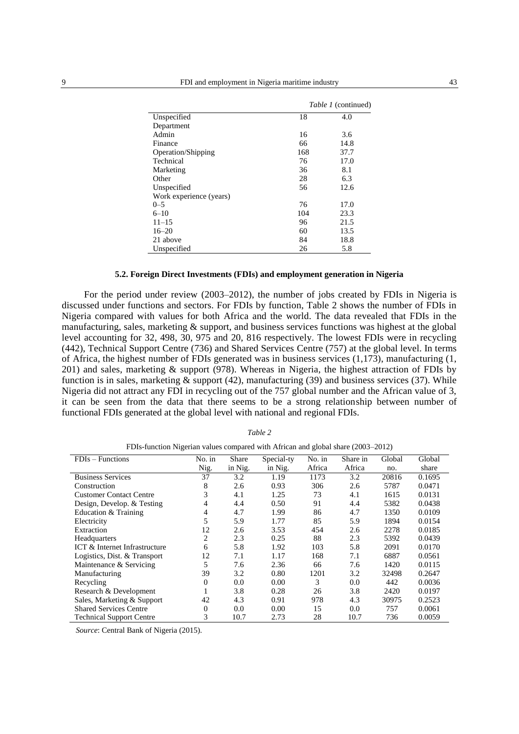|                         |     | <i>Table 1</i> (continued) |
|-------------------------|-----|----------------------------|
| Unspecified             | 18  | 4.0                        |
| Department              |     |                            |
| Admin                   | 16  | 3.6                        |
| Finance                 | 66  | 14.8                       |
| Operation/Shipping      | 168 | 37.7                       |
| Technical               | 76  | 17.0                       |
| Marketing               | 36  | 8.1                        |
| Other                   | 28  | 6.3                        |
| Unspecified             | 56  | 12.6                       |
| Work experience (years) |     |                            |
| $0 - 5$                 | 76  | 17.0                       |
| $6 - 10$                | 104 | 23.3                       |
| $11 - 15$               | 96  | 21.5                       |
| $16 - 20$               | 60  | 13.5                       |
| 21 above                | 84  | 18.8                       |
| Unspecified             | 26  | 5.8                        |

### **5.2. Foreign Direct Investments (FDIs) and employment generation in Nigeria**

For the period under review (2003–2012), the number of jobs created by FDIs in Nigeria is discussed under functions and sectors. For FDIs by function, Table 2 shows the number of FDIs in Nigeria compared with values for both Africa and the world. The data revealed that FDIs in the manufacturing, sales, marketing & support, and business services functions was highest at the global level accounting for 32, 498, 30, 975 and 20, 816 respectively. The lowest FDIs were in recycling (442), Technical Support Centre (736) and Shared Services Centre (757) at the global level. In terms of Africa, the highest number of FDIs generated was in business services  $(1,173)$ , manufacturing  $(1, 1, 1)$ 201) and sales, marketing & support (978). Whereas in Nigeria, the highest attraction of FDIs by function is in sales, marketing  $\&$  support (42), manufacturing (39) and business services (37). While Nigeria did not attract any FDI in recycling out of the 757 global number and the African value of 3, it can be seen from the data that there seems to be a strong relationship between number of functional FDIs generated at the global level with national and regional FDIs.

| FDIs-function Nigerian values compared with African and global share (2003–2012) |                |         |            |          |          |        |        |  |  |  |  |  |  |
|----------------------------------------------------------------------------------|----------------|---------|------------|----------|----------|--------|--------|--|--|--|--|--|--|
| $FDIs - Functions$                                                               | No. in         | Share   | Special-ty | $No.$ in | Share in | Global | Global |  |  |  |  |  |  |
|                                                                                  | Nig.           | in Nig. | in Nig.    | Africa   | Africa   | no.    | share  |  |  |  |  |  |  |
| <b>Business Services</b>                                                         | 37             | 3.2     | 1.19       | 1173     | 3.2      | 20816  | 0.1695 |  |  |  |  |  |  |
| Construction                                                                     | 8              | 2.6     | 0.93       | 306      | 2.6      | 5787   | 0.0471 |  |  |  |  |  |  |
| <b>Customer Contact Centre</b>                                                   | 3              | 4.1     | 1.25       | 73       | 4.1      | 1615   | 0.0131 |  |  |  |  |  |  |
| Design, Develop. & Testing                                                       | 4              | 4.4     | 0.50       | 91       | 4.4      | 5382   | 0.0438 |  |  |  |  |  |  |
| Education & Training                                                             | 4              | 4.7     | 1.99       | 86       | 4.7      | 1350   | 0.0109 |  |  |  |  |  |  |
| Electricity                                                                      | 5              | 5.9     | 1.77       | 85       | 5.9      | 1894   | 0.0154 |  |  |  |  |  |  |
| Extraction                                                                       | 12             | 2.6     | 3.53       | 454      | 2.6      | 2278   | 0.0185 |  |  |  |  |  |  |
| Headquarters                                                                     | 2              | 2.3     | 0.25       | 88       | 2.3      | 5392   | 0.0439 |  |  |  |  |  |  |
| ICT & Internet Infrastructure                                                    | 6              | 5.8     | 1.92       | 103      | 5.8      | 2091   | 0.0170 |  |  |  |  |  |  |
| Logistics, Dist. & Transport                                                     | 12             | 7.1     | 1.17       | 168      | 7.1      | 6887   | 0.0561 |  |  |  |  |  |  |
| Maintenance & Servicing                                                          | 5              | 7.6     | 2.36       | 66       | 7.6      | 1420   | 0.0115 |  |  |  |  |  |  |
| Manufacturing                                                                    | 39             | 3.2     | 0.80       | 1201     | 3.2      | 32498  | 0.2647 |  |  |  |  |  |  |
| Recycling                                                                        | $\overline{0}$ | 0.0     | 0.00       | 3        | 0.0      | 442    | 0.0036 |  |  |  |  |  |  |
| Research & Development                                                           |                | 3.8     | 0.28       | 26       | 3.8      | 2420   | 0.0197 |  |  |  |  |  |  |
| Sales, Marketing & Support                                                       | 42             | 4.3     | 0.91       | 978      | 4.3      | 30975  | 0.2523 |  |  |  |  |  |  |
| <b>Shared Services Centre</b>                                                    | $\overline{0}$ | $0.0\,$ | 0.00       | 15       | 0.0      | 757    | 0.0061 |  |  |  |  |  |  |
| <b>Technical Support Centre</b>                                                  | 3              | 10.7    | 2.73       | 28       | 10.7     | 736    | 0.0059 |  |  |  |  |  |  |

*Table 2*

*Source*: Central Bank of Nigeria (2015).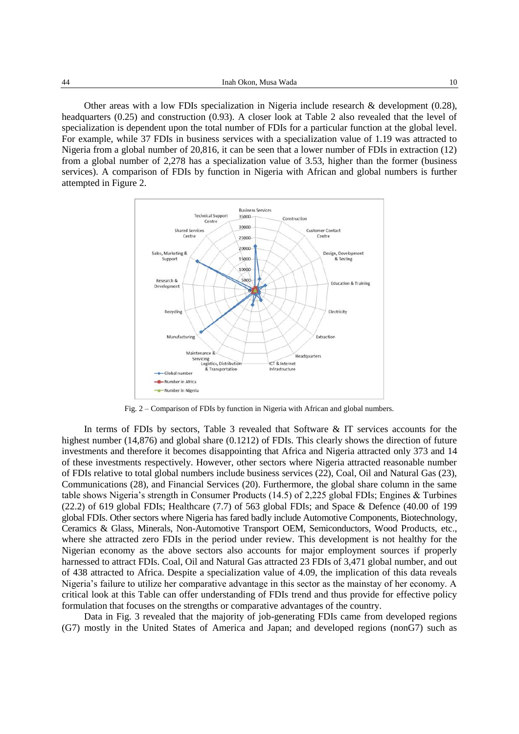Other areas with a low FDIs specialization in Nigeria include research & development (0.28), headquarters (0.25) and construction (0.93). A closer look at Table 2 also revealed that the level of specialization is dependent upon the total number of FDIs for a particular function at the global level. For example, while 37 FDIs in business services with a specialization value of 1.19 was attracted to Nigeria from a global number of 20,816, it can be seen that a lower number of FDIs in extraction (12) from a global number of 2,278 has a specialization value of 3.53, higher than the former (business services). A comparison of FDIs by function in Nigeria with African and global numbers is further attempted in Figure 2.



Fig. 2 – Comparison of FDIs by function in Nigeria with African and global numbers.

In terms of FDIs by sectors, Table 3 revealed that Software & IT services accounts for the highest number (14,876) and global share (0.1212) of FDIs. This clearly shows the direction of future investments and therefore it becomes disappointing that Africa and Nigeria attracted only 373 and 14 of these investments respectively. However, other sectors where Nigeria attracted reasonable number of FDIs relative to total global numbers include business services (22), Coal, Oil and Natural Gas (23), Communications (28), and Financial Services (20). Furthermore, the global share column in the same table shows Nigeria's strength in Consumer Products (14.5) of 2,225 global FDIs; Engines & Turbines (22.2) of 619 global FDIs; Healthcare (7.7) of 563 global FDIs; and Space & Defence (40.00 of 199 global FDIs. Other sectors where Nigeria has fared badly include Automotive Components, Biotechnology, Ceramics & Glass, Minerals, Non-Automotive Transport OEM, Semiconductors, Wood Products, etc., where she attracted zero FDIs in the period under review. This development is not healthy for the Nigerian economy as the above sectors also accounts for major employment sources if properly harnessed to attract FDIs. Coal, Oil and Natural Gas attracted 23 FDIs of 3,471 global number, and out of 438 attracted to Africa. Despite a specialization value of 4.09, the implication of this data reveals Nigeria's failure to utilize her comparative advantage in this sector as the mainstay of her economy. A critical look at this Table can offer understanding of FDIs trend and thus provide for effective policy formulation that focuses on the strengths or comparative advantages of the country.

Data in Fig. 3 revealed that the majority of job-generating FDIs came from developed regions (G7) mostly in the United States of America and Japan; and developed regions (nonG7) such as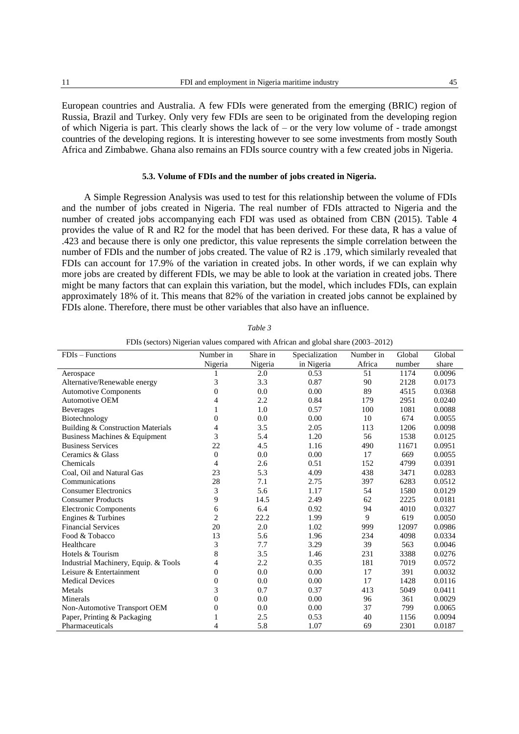European countries and Australia. A few FDIs were generated from the emerging (BRIC) region of Russia, Brazil and Turkey. Only very few FDIs are seen to be originated from the developing region of which Nigeria is part. This clearly shows the lack of – or the very low volume of - trade amongst countries of the developing regions. It is interesting however to see some investments from mostly South Africa and Zimbabwe. Ghana also remains an FDIs source country with a few created jobs in Nigeria.

# **5.3. Volume of FDIs and the number of jobs created in Nigeria.**

A Simple Regression Analysis was used to test for this relationship between the volume of FDIs and the number of jobs created in Nigeria. The real number of FDIs attracted to Nigeria and the number of created jobs accompanying each FDI was used as obtained from CBN (2015). Table 4 provides the value of R and R2 for the model that has been derived. For these data, R has a value of .423 and because there is only one predictor, this value represents the simple correlation between the number of FDIs and the number of jobs created. The value of R2 is .179, which similarly revealed that FDIs can account for 17.9% of the variation in created jobs. In other words, if we can explain why more jobs are created by different FDIs, we may be able to look at the variation in created jobs. There might be many factors that can explain this variation, but the model, which includes FDIs, can explain approximately 18% of it. This means that 82% of the variation in created jobs cannot be explained by FDIs alone. Therefore, there must be other variables that also have an influence.

| FDIs (sectors) Nigerian values compared with African and global share (2003–2012) |                |          |                |           |        |        |  |  |  |  |  |  |
|-----------------------------------------------------------------------------------|----------------|----------|----------------|-----------|--------|--------|--|--|--|--|--|--|
| $FDIs - Functions$                                                                | Number in      | Share in | Specialization | Number in | Global | Global |  |  |  |  |  |  |
|                                                                                   | Nigeria        | Nigeria  | in Nigeria     | Africa    | number | share  |  |  |  |  |  |  |
| Aerospace                                                                         |                | 2.0      | 0.53           | 51        | 1174   | 0.0096 |  |  |  |  |  |  |
| Alternative/Renewable energy                                                      | 3              | 3.3      | 0.87           | 90        | 2128   | 0.0173 |  |  |  |  |  |  |
| <b>Automotive Components</b>                                                      | 0              | 0.0      | 0.00           | 89        | 4515   | 0.0368 |  |  |  |  |  |  |
| <b>Automotive OEM</b>                                                             | 4              | 2.2      | 0.84           | 179       | 2951   | 0.0240 |  |  |  |  |  |  |
| <b>Beverages</b>                                                                  |                | 1.0      | 0.57           | 100       | 1081   | 0.0088 |  |  |  |  |  |  |
| Biotechnology                                                                     | 0              | 0.0      | 0.00           | 10        | 674    | 0.0055 |  |  |  |  |  |  |
| Building & Construction Materials                                                 | 4              | 3.5      | 2.05           | 113       | 1206   | 0.0098 |  |  |  |  |  |  |
| Business Machines & Equipment                                                     | 3              | 5.4      | 1.20           | 56        | 1538   | 0.0125 |  |  |  |  |  |  |
| <b>Business Services</b>                                                          | 22             | 4.5      | 1.16           | 490       | 11671  | 0.0951 |  |  |  |  |  |  |
| Ceramics & Glass                                                                  | $\overline{0}$ | 0.0      | 0.00           | 17        | 669    | 0.0055 |  |  |  |  |  |  |
| Chemicals                                                                         | 4              | 2.6      | 0.51           | 152       | 4799   | 0.0391 |  |  |  |  |  |  |
| Coal, Oil and Natural Gas                                                         | 23             | 5.3      | 4.09           | 438       | 3471   | 0.0283 |  |  |  |  |  |  |
| Communications                                                                    | 28             | 7.1      | 2.75           | 397       | 6283   | 0.0512 |  |  |  |  |  |  |
| <b>Consumer Electronics</b>                                                       | 3              | 5.6      | 1.17           | 54        | 1580   | 0.0129 |  |  |  |  |  |  |
| <b>Consumer Products</b>                                                          | 9              | 14.5     | 2.49           | 62        | 2225   | 0.0181 |  |  |  |  |  |  |
| <b>Electronic Components</b>                                                      | 6              | 6.4      | 0.92           | 94        | 4010   | 0.0327 |  |  |  |  |  |  |
| Engines & Turbines                                                                | $\overline{c}$ | 22.2     | 1.99           | 9         | 619    | 0.0050 |  |  |  |  |  |  |
| <b>Financial Services</b>                                                         | 20             | 2.0      | 1.02           | 999       | 12097  | 0.0986 |  |  |  |  |  |  |
| Food & Tobacco                                                                    | 13             | 5.6      | 1.96           | 234       | 4098   | 0.0334 |  |  |  |  |  |  |
| Healthcare                                                                        | 3              | 7.7      | 3.29           | 39        | 563    | 0.0046 |  |  |  |  |  |  |
| Hotels & Tourism                                                                  | 8              | 3.5      | 1.46           | 231       | 3388   | 0.0276 |  |  |  |  |  |  |
| Industrial Machinery, Equip. & Tools                                              | 4              | 2.2      | 0.35           | 181       | 7019   | 0.0572 |  |  |  |  |  |  |
| Leisure & Entertainment                                                           | 0              | 0.0      | 0.00           | 17        | 391    | 0.0032 |  |  |  |  |  |  |
| <b>Medical Devices</b>                                                            | 0              | 0.0      | 0.00           | 17        | 1428   | 0.0116 |  |  |  |  |  |  |
| Metals                                                                            | 3              | 0.7      | 0.37           | 413       | 5049   | 0.0411 |  |  |  |  |  |  |
| Minerals                                                                          | 0              | 0.0      | 0.00           | 96        | 361    | 0.0029 |  |  |  |  |  |  |
| Non-Automotive Transport OEM                                                      | 0              | 0.0      | 0.00           | 37        | 799    | 0.0065 |  |  |  |  |  |  |
| Paper, Printing & Packaging                                                       | 1              | 2.5      | 0.53           | 40        | 1156   | 0.0094 |  |  |  |  |  |  |
| Pharmaceuticals                                                                   | 4              | 5.8      | 1.07           | 69        | 2301   | 0.0187 |  |  |  |  |  |  |

*Table 3*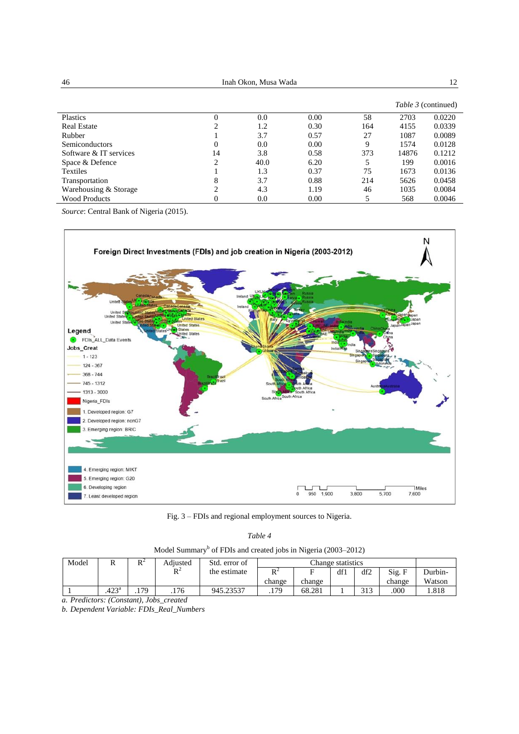| 46                     | Inah Okon, Musa Wada |      | 12   |     |       |                            |
|------------------------|----------------------|------|------|-----|-------|----------------------------|
|                        |                      |      |      |     |       | <i>Table 3</i> (continued) |
| Plastics               | 0                    | 0.0  | 0.00 | 58  | 2703  | 0.0220                     |
| <b>Real Estate</b>     | 2                    | 1.2  | 0.30 | 164 | 4155  | 0.0339                     |
| Rubber                 |                      | 3.7  | 0.57 | 27  | 1087  | 0.0089                     |
| <b>Semiconductors</b>  | 0                    | 0.0  | 0.00 | 9   | 1574  | 0.0128                     |
| Software & IT services | 14                   | 3.8  | 0.58 | 373 | 14876 | 0.1212                     |
| Space & Defence        | 2                    | 40.0 | 6.20 |     | 199   | 0.0016                     |
| <b>Textiles</b>        |                      | 1.3  | 0.37 | 75  | 1673  | 0.0136                     |
| Transportation         | 8                    | 3.7  | 0.88 | 214 | 5626  | 0.0458                     |
| Warehousing & Storage  | 2                    | 4.3  | 1.19 | 46  | 1035  | 0.0084                     |
| <b>Wood Products</b>   | 0                    | 0.0  | 0.00 | 5   | 568   | 0.0046                     |

*Source*: Central Bank of Nigeria (2015).



Fig. 3 – FDIs and regional employment sources to Nigeria.

| Table 4 |  |
|---------|--|
|         |  |

| Model Summary <sup>b</sup> of FDIs and created jobs in Nigeria (2003–2012) |  |  |  |  |
|----------------------------------------------------------------------------|--|--|--|--|
|----------------------------------------------------------------------------|--|--|--|--|

| Model                    | 17             | $\mathbf{D}^{\mathcal{L}}$<br>v | Adiusted | Std. error of | Change statistics   |        |     |              |        |         |
|--------------------------|----------------|---------------------------------|----------|---------------|---------------------|--------|-----|--------------|--------|---------|
|                          |                |                                 | DΖ<br>17 | the estimate  | D <sup>2</sup><br>v | −      | df1 | df2          | Sig. F | Durbin- |
|                          |                |                                 |          |               | change              | change |     |              | change | Watson  |
|                          | $.423^{\rm a}$ | 70<br>$\cdot$ .                 | .176     | 945.23537     | .179                | 68.281 |     | 212<br>ن 1 ب | .000   | . 818   |
| $\cdots$<br>$\mathbf{r}$ | $\sqrt{ }$     | $\cdots$ $\cdots$ $\cdots$      |          |               |                     |        |     |              |        |         |

*a. Predictors: (Constant), Jobs\_created*

*b. Dependent Variable: FDIs\_Real\_Numbers*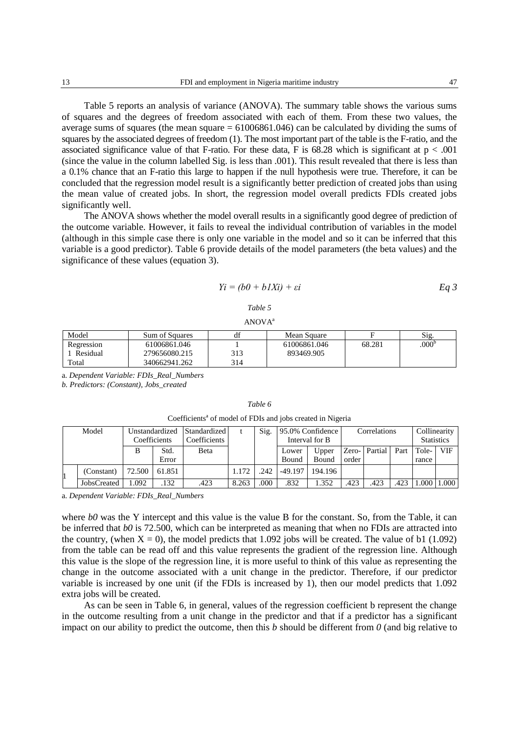Table 5 reports an analysis of variance (ANOVA). The summary table shows the various sums of squares and the degrees of freedom associated with each of them. From these two values, the average sums of squares (the mean square = 61006861.046) can be calculated by dividing the sums of squares by the associated degrees of freedom (1). The most important part of the table is the F-ratio, and the associated significance value of that F-ratio. For these data, F is  $68.28$  which is significant at  $p < .001$ (since the value in the column labelled Sig. is less than .001). This result revealed that there is less than a 0.1% chance that an F-ratio this large to happen if the null hypothesis were true. Therefore, it can be concluded that the regression model result is a significantly better prediction of created jobs than using the mean value of created jobs. In short, the regression model overall predicts FDIs created jobs significantly well.

The ANOVA shows whether the model overall results in a significantly good degree of prediction of the outcome variable. However, it fails to reveal the individual contribution of variables in the model (although in this simple case there is only one variable in the model and so it can be inferred that this variable is a good predictor). Table 6 provide details of the model parameters (the beta values) and the significance of these values (equation 3).

$$
Yi = (b0 + b1Xi) + \varepsilon i
$$
 Eq 3

### *Table 5*

 $ANOVA<sup>a</sup>$ 

| Model      | Sum of Squares | df  | Mean Square  |        | S1g.              |
|------------|----------------|-----|--------------|--------|-------------------|
| Regression | 61006861.046   |     | 61006861.046 | 68.281 | .000 <sup>b</sup> |
| Residual   | 279656080.215  | 313 | 893469.905   |        |                   |
| Total      | 340662941.262  | 314 |              |        |                   |

a. *Dependent Variable: FDIs\_Real\_Numbers*

*b. Predictors: (Constant), Jobs\_created*

#### *Table 6*

| Coefficients <sup>a</sup> of model of FDIs and jobs created in Nigeria |  |  |  |  |  |
|------------------------------------------------------------------------|--|--|--|--|--|
|------------------------------------------------------------------------|--|--|--|--|--|

| Model<br>Unstandardized |              | Standardized |              | Sig.  | 95.0% Confidence |           | Correlations   |       |         | Collinearity |                   |            |
|-------------------------|--------------|--------------|--------------|-------|------------------|-----------|----------------|-------|---------|--------------|-------------------|------------|
|                         | Coefficients |              | Coefficients |       |                  |           | Interval for B |       |         |              | <b>Statistics</b> |            |
|                         | в            | Std.         | Beta         |       |                  | Lower     | Upper          | Zero- | Partial | Part         | Tole-             | <b>VIF</b> |
|                         |              | Error        |              |       |                  | Bound     | Bound          | order |         |              | rance             |            |
| (Constant)              | 72.500       | 61.851       |              | 1.172 | 242              | $-49.197$ | 194.196        |       |         |              |                   |            |
| JobsCreated             | 1.092        | .132         | .423         | 8.263 | 000              | .832      | . 352          | .423  | .423    | .423         | .000.             | 1.000      |

a. *Dependent Variable: FDIs\_Real\_Numbers*

where *b0* was the Y intercept and this value is the value B for the constant. So, from the Table, it can be inferred that *b0* is 72.500, which can be interpreted as meaning that when no FDIs are attracted into the country, (when  $X = 0$ ), the model predicts that 1.092 jobs will be created. The value of b1 (1.092) from the table can be read off and this value represents the gradient of the regression line. Although this value is the slope of the regression line, it is more useful to think of this value as representing the change in the outcome associated with a unit change in the predictor. Therefore, if our predictor variable is increased by one unit (if the FDIs is increased by 1), then our model predicts that 1.092 extra jobs will be created.

As can be seen in Table 6, in general, values of the regression coefficient b represent the change in the outcome resulting from a unit change in the predictor and that if a predictor has a significant impact on our ability to predict the outcome, then this *b* should be different from *0* (and big relative to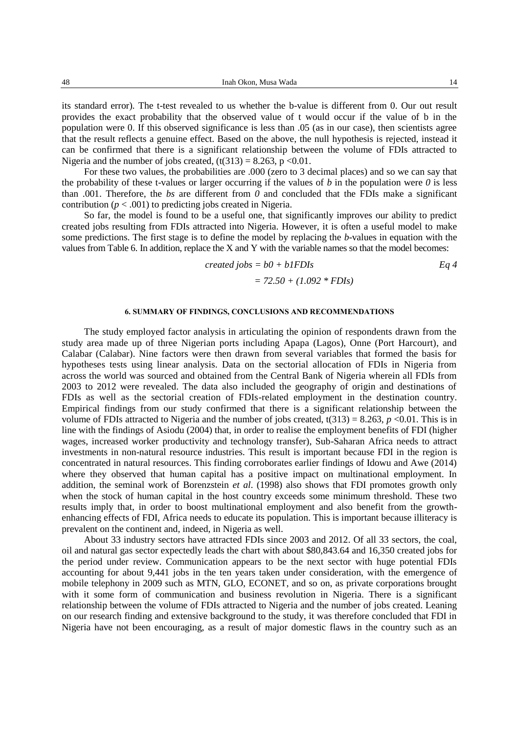its standard error). The t-test revealed to us whether the b-value is different from 0. Our out result provides the exact probability that the observed value of t would occur if the value of b in the population were 0. If this observed significance is less than .05 (as in our case), then scientists agree that the result reflects a genuine effect. Based on the above, the null hypothesis is rejected, instead it can be confirmed that there is a significant relationship between the volume of FDIs attracted to Nigeria and the number of jobs created,  $(t(313) = 8.263, p < 0.01$ .

For these two values, the probabilities are .000 (zero to 3 decimal places) and so we can say that the probability of these t-values or larger occurring if the values of  $b$  in the population were  $0$  is less than .001. Therefore, the *bs* are different from *0* and concluded that the FDIs make a significant contribution  $(p < .001)$  to predicting jobs created in Nigeria.

So far, the model is found to be a useful one, that significantly improves our ability to predict created jobs resulting from FDIs attracted into Nigeria. However, it is often a useful model to make some predictions. The first stage is to define the model by replacing the *b*-values in equation with the values from Table 6. In addition, replace the X and Y with the variable names so that the model becomes:

$$
created \, jobs = b0 + bIFDIS
$$
\n
$$
= 72.50 + (1.092 * FDIS)
$$
\n
$$
= 72.50 + (1.092 * FDIS)
$$

# **6. SUMMARY OF FINDINGS, CONCLUSIONS AND RECOMMENDATIONS**

The study employed factor analysis in articulating the opinion of respondents drawn from the study area made up of three Nigerian ports including Apapa (Lagos), Onne (Port Harcourt), and Calabar (Calabar). Nine factors were then drawn from several variables that formed the basis for hypotheses tests using linear analysis. Data on the sectorial allocation of FDIs in Nigeria from across the world was sourced and obtained from the Central Bank of Nigeria wherein all FDIs from 2003 to 2012 were revealed. The data also included the geography of origin and destinations of FDIs as well as the sectorial creation of FDIs-related employment in the destination country. Empirical findings from our study confirmed that there is a significant relationship between the volume of FDIs attracted to Nigeria and the number of jobs created,  $t(313) = 8.263$ ,  $p \le 0.01$ . This is in line with the findings of Asiodu (2004) that, in order to realise the employment benefits of FDI (higher wages, increased worker productivity and technology transfer), Sub-Saharan Africa needs to attract investments in non-natural resource industries. This result is important because FDI in the region is concentrated in natural resources. This finding corroborates earlier findings of Idowu and Awe (2014) where they observed that human capital has a positive impact on multinational employment. In addition, the seminal work of Borenzstein *et al*. (1998) also shows that FDI promotes growth only when the stock of human capital in the host country exceeds some minimum threshold. These two results imply that, in order to boost multinational employment and also benefit from the growthenhancing effects of FDI, Africa needs to educate its population. This is important because illiteracy is prevalent on the continent and, indeed, in Nigeria as well.

About 33 industry sectors have attracted FDIs since 2003 and 2012. Of all 33 sectors, the coal, oil and natural gas sector expectedly leads the chart with about \$80,843.64 and 16,350 created jobs for the period under review. Communication appears to be the next sector with huge potential FDIs accounting for about 9,441 jobs in the ten years taken under consideration, with the emergence of mobile telephony in 2009 such as MTN, GLO, ECONET, and so on, as private corporations brought with it some form of communication and business revolution in Nigeria. There is a significant relationship between the volume of FDIs attracted to Nigeria and the number of jobs created. Leaning on our research finding and extensive background to the study, it was therefore concluded that FDI in Nigeria have not been encouraging, as a result of major domestic flaws in the country such as an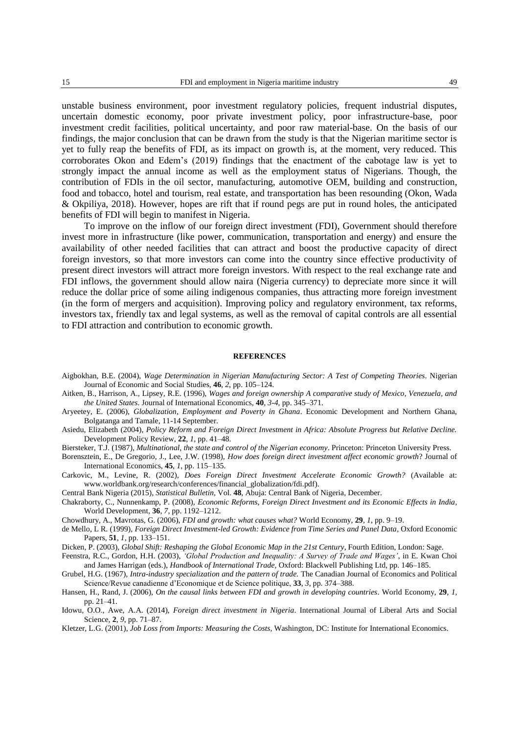unstable business environment, poor investment regulatory policies, frequent industrial disputes, uncertain domestic economy, poor private investment policy, poor infrastructure-base, poor investment credit facilities, political uncertainty, and poor raw material-base. On the basis of our findings, the major conclusion that can be drawn from the study is that the Nigerian maritime sector is yet to fully reap the benefits of FDI, as its impact on growth is, at the moment, very reduced. This corroborates Okon and Edem's (2019) findings that the enactment of the cabotage law is yet to strongly impact the annual income as well as the employment status of Nigerians. Though, the contribution of FDIs in the oil sector, manufacturing, automotive OEM, building and construction, food and tobacco, hotel and tourism, real estate, and transportation has been resounding (Okon, Wada & Okpiliya, 2018). However, hopes are rift that if round pegs are put in round holes, the anticipated benefits of FDI will begin to manifest in Nigeria.

To improve on the inflow of our foreign direct investment (FDI), Government should therefore invest more in infrastructure (like power, communication, transportation and energy) and ensure the availability of other needed facilities that can attract and boost the productive capacity of direct foreign investors, so that more investors can come into the country since effective productivity of present direct investors will attract more foreign investors. With respect to the real exchange rate and FDI inflows, the government should allow naira (Nigeria currency) to depreciate more since it will reduce the dollar price of some ailing indigenous companies, thus attracting more foreign investment (in the form of mergers and acquisition). Improving policy and regulatory environment, tax reforms, investors tax, friendly tax and legal systems, as well as the removal of capital controls are all essential to FDI attraction and contribution to economic growth.

#### **REFERENCES**

- Aigbokhan, B.E. (2004), *Wage Determination in Nigerian Manufacturing Sector: A Test of Competing Theories*. Nigerian Journal of Economic and Social Studies, **46**, *2*, pp. 105–124.
- Aitken, B., Harrison, A., Lipsey, R.E. (1996), *Wages and foreign ownership A comparative study of Mexico, Venezuela, and the United States*. Journal of International Economics, **40**, *3-4*, pp. 345–371.
- Aryeetey, E. (2006), *Globalization, Employment and Poverty in Ghana*. Economic Development and Northern Ghana, Bolgatanga and Tamale, 11-14 September.
- Asiedu, Elizabeth (2004), *Policy Reform and Foreign Direct Investment in Africa: Absolute Progress but Relative Decline.* Development Policy Review, **22**, *1*, pp. 41–48.
- Biersteker, T.J. (1987), *Multinational, the state and control of the Nigerian economy*. Princeton: Princeton University Press.
- Borensztein, E., De Gregorio, J., Lee, J.W. (1998), *How does foreign direct investment affect economic growth*? Journal of International Economics, **45**, *1*, pp. 115–135.
- Carkovic, M., Levine, R. (2002), *Does Foreign Direct Investment Accelerate Economic Growth?* (Available at: [www.worldbank.org/research/conferences/financial\\_globalization/fdi.pdf\)](http://www.worldbank.org/research/conferences/financial_globalization/fdi.pdf).

Central Bank Nigeria (2015), *Statistical Bulletin*, Vol. **48**, Abuja: Central Bank of Nigeria, December.

- Chakraborty, C., Nunnenkamp, P. (2008), *Economic Reforms, Foreign Direct Investment and its Economic Effects in India*, World Development, **36**, *7*, pp. 1192–1212.
- Chowdhury, A., Mavrotas, G. (2006), *FDI and growth: what causes what?* World Economy, **29***, 1*, pp. 9–19.
- de Mello, L R. (1999), *Foreign Direct Investment-led Growth: Evidence from Time Series and Panel Data*, Oxford Economic Papers, **51**, *1*, pp. 133–151.

Dicken, P. (2003), *Global Shift: Reshaping the Global Economic Map in the 21st Century*, Fourth Edition, London: Sage.

- Feenstra, R.C., Gordon, H.H. (2003), *'Global Production and Inequality: A Survey of Trade and Wages'*, in E. Kwan Choi and James Harrigan (eds.), *Handbook of International Trade*, Oxford: Blackwell Publishing Ltd, pp. 146–185.
- Grubel, H.G. (1967), *Intra-industry specialization and the pattern of trade.* The Canadian Journal of Economics and Political Science/Revue canadienne d'Economique et de Science politique, **33**, *3*, pp. 374–388.
- Hansen, H., Rand, J. (2006), *On the causal links between FDI and growth in developing countries*. World Economy, **29**, *1*, pp. 21–41.
- Idowu, O.O., Awe, A.A. (2014), *Foreign direct investment in Nigeria*. International Journal of Liberal Arts and Social Science, **2**, *9*, pp. 71–87.
- Kletzer, L.G. (2001), *Job Loss from Imports: Measuring the Costs,* Washington, DC: Institute for International Economics.